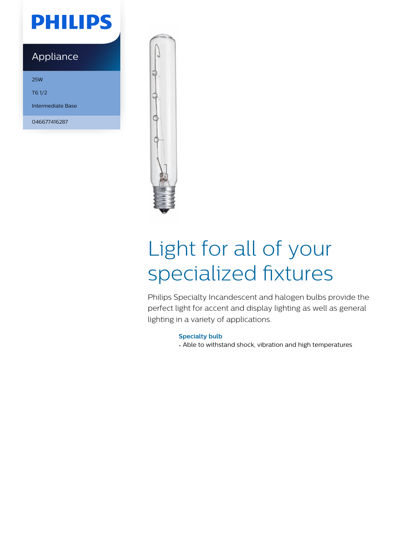

### Appliance

25W

T6 1/2

Intermediate Base

046677416287



# Light for all of your specialized fixtures

Philips Specialty Incandescent and halogen bulbs provide the perfect light for accent and display lighting as well as general lighting in a variety of applications.

**Specialty bulb**

• Able to withstand shock, vibration and high temperatures